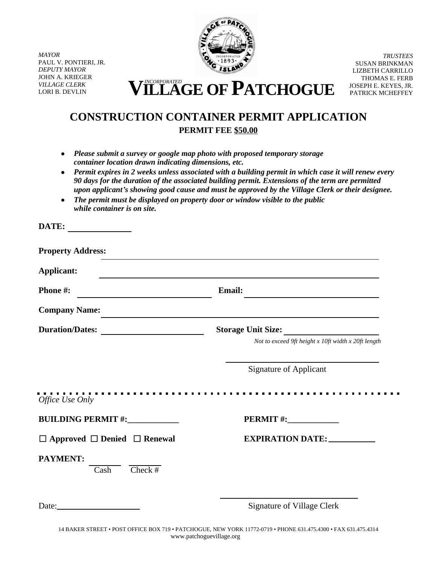*MAYOR* PAUL V. PONTIERI, JR. *DEPUTY MAYOR* JOHN A. KRIEGER *VILLAGE CLERK*

**DATE:**



*TRUSTEES* SUSAN BRINKMAN LIZBETH CARRILLO THOMAS E. FERB JOSEPH E. KEYES, JR. PATRICK MCHEFFEY

VILLAGE CLERK **VILLAGE CLERK VILLAGE OF PATCHOGUE** 

## **CONSTRUCTION CONTAINER PERMIT APPLICATION PERMIT FEE \$50.00**

- *Please submit a survey or google map photo with proposed temporary storage container location drawn indicating dimensions, etc.*
- *Permit expires in 2 weeks unless associated with a building permit in which case it will renew every 90 days for the duration of the associated building permit. Extensions of the term are permitted upon applicant's showing good cause and must be approved by the Village Clerk or their designee.*
- *The permit must be displayed on property door or window visible to the public while container is on site.*

| <b>Applicant:</b>                                        | and the control of the control of the control of the control of the control of the control of the control of the      |
|----------------------------------------------------------|-----------------------------------------------------------------------------------------------------------------------|
| Phone #:                                                 | <b>Email:</b>                                                                                                         |
| <b>Company Name:</b>                                     | <u> 1989 - Johann Harry Harry Harry Harry Harry Harry Harry Harry Harry Harry Harry Harry Harry Harry Harry Harry</u> |
| Duration/Dates:                                          | Storage Unit Size:                                                                                                    |
|                                                          | Not to exceed 9ft height x 10ft width x 20ft length                                                                   |
|                                                          | <b>Signature of Applicant</b>                                                                                         |
| Office Use Only                                          |                                                                                                                       |
| <b>BUILDING PERMIT#:____________</b>                     |                                                                                                                       |
|                                                          |                                                                                                                       |
| $\Box$ Approved $\Box$ Denied $\Box$ Renewal             | <b>EXPIRATION DATE: ___________</b>                                                                                   |
| <b>PAYMENT:</b><br>$Check$ #<br>$\overline{\text{Cash}}$ |                                                                                                                       |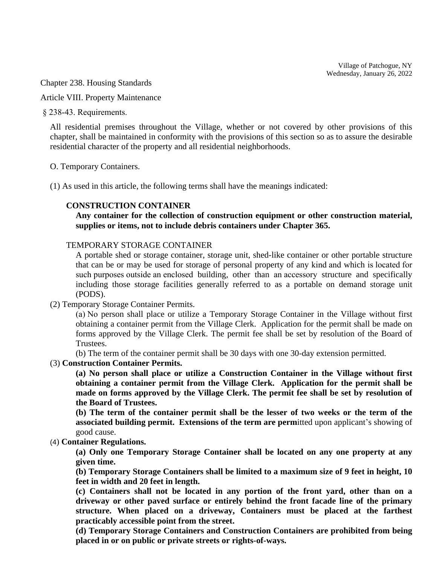Village of Patchogue, NY  $\frac{1}{2}$ av January 26, 2022 Wednesday, January 26, 2022

 $\sigma$ <sub>1</sub>  $\sigma$ <sub>220</sub>  $\sigma$ <sub>1</sub> *VILLAGE Chapter 238. Housing Standards*<br> *Article VIII. Property Maintenance* 

Article VIII. Property Maintenance

§ 238-43. Requirements.

All residential premises throughout the Village, whether or not covered by other provisions of this chapter, shall be maintained in conformity with the provisions of this section so as to assure the desirable residential character of the property and all residential neighborhoods.

O. Temporary Containers.

(1) As used in this article, the following terms shall have the meanings indicated:

## **CONSTRUCTION CONTAINER**

**Any container for the collection of construction equipment or other construction material, supplies or items, not to include debris containers under Chapter 365.**

TEMPORARY STORAGE CONTAINER

A portable shed or storage container, storage unit, shed-like container or other portable structure that can be or may be used for storage of personal property of any kind and which is located for such purposes outside an enclosed building, other than an accessory structure and specifically including those storage facilities generally referred to as a portable on demand storage unit (PODS).

(2) Temporary Storage Container Permits.

(a) No person shall place or utilize a Temporary Storage Container in the Village without first obtaining a container permit from the Village Clerk. Application for the permit shall be made on forms approved by the Village Clerk. The permit fee shall be set by resolution of the Board of Trustees.

(b) The term of the container permit shall be 30 days with one 30-day extension permitted.

## (3) **Construction Container Permits.**

**(a) No person shall place or utilize a Construction Container in the Village without first obtaining a container permit from the Village Clerk. Application for the permit shall be made on forms approved by the Village Clerk. The permit fee shall be set by resolution of the Board of Trustees.**

**(b) The term of the container permit shall be the lesser of two weeks or the term of the associated building permit. Extensions of the term are perm**itted upon applicant's showing of good cause.

## (4) **Container Regulations.**

**(a) Only one Temporary Storage Container shall be located on any one property at any given time.**

**(b) Temporary Storage Containers shall be limited to a maximum size of 9 feet in height, 10 feet in width and 20 feet in length.**

**(c) Containers shall not be located in any portion of the front yard, other than on a driveway or other paved surface or entirely behind the front facade line of the primary structure. When placed on a driveway, Containers must be placed at the farthest practicably accessible point from the street.** 

(d) Temporary Storage Containers and Construction Containers are prohibited from being placed in or on public or private streets or rights-of-ways.